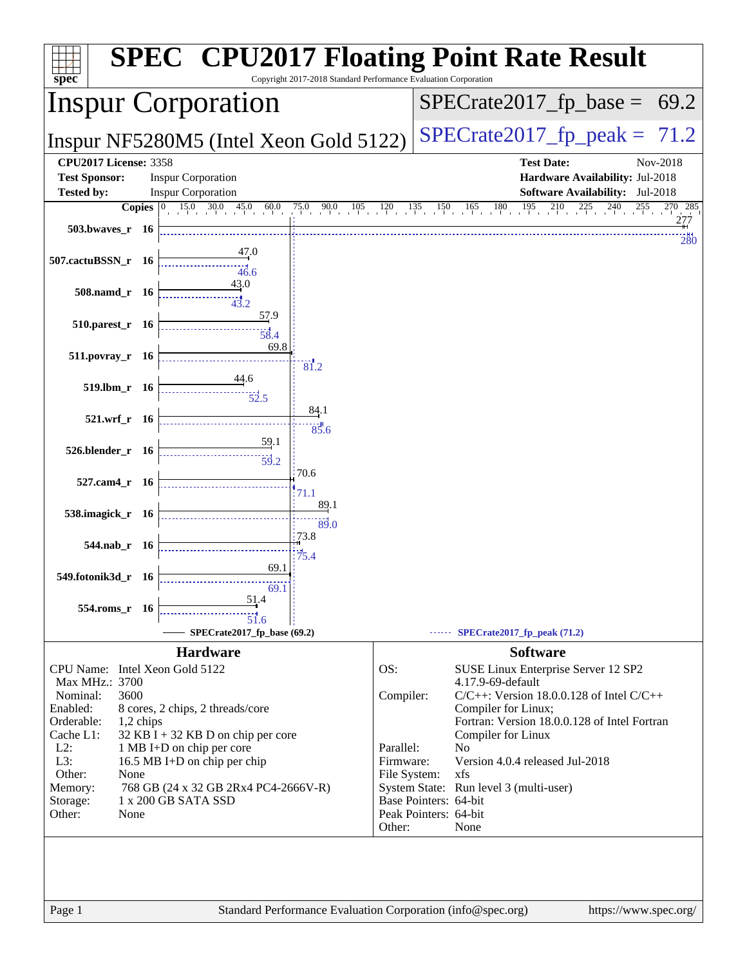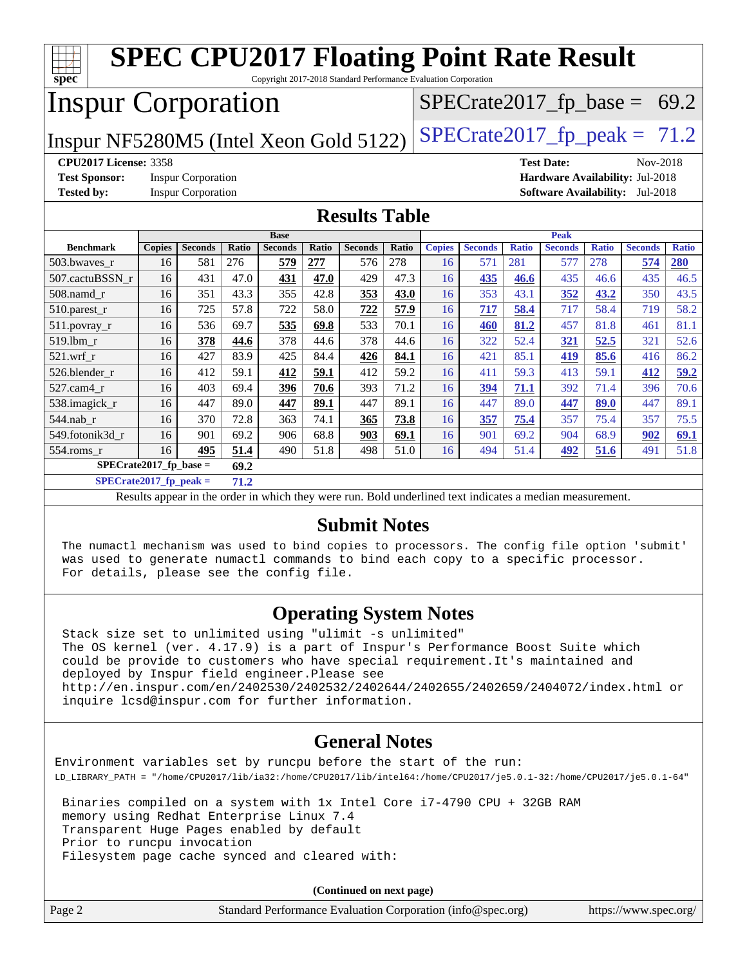| <b>SPEC CPU2017 Floating Point Rate Result</b><br>$spec^*$<br>Copyright 2017-2018 Standard Performance Evaluation Corporation |        |                           |       |                |       |                |             |               |                |              |                |                                |                                        |              |
|-------------------------------------------------------------------------------------------------------------------------------|--------|---------------------------|-------|----------------|-------|----------------|-------------|---------------|----------------|--------------|----------------|--------------------------------|----------------------------------------|--------------|
| <b>Inspur Corporation</b>                                                                                                     |        |                           |       |                |       |                |             |               |                |              |                | $SPECrate2017_fp\_base = 69.2$ |                                        |              |
| $SPECTate2017_fp\_peak = 71.2$<br>Inspur NF5280M5 (Intel Xeon Gold 5122)                                                      |        |                           |       |                |       |                |             |               |                |              |                |                                |                                        |              |
| <b>CPU2017 License: 3358</b><br>Nov-2018<br><b>Test Date:</b>                                                                 |        |                           |       |                |       |                |             |               |                |              |                |                                |                                        |              |
| <b>Test Sponsor:</b>                                                                                                          |        | <b>Inspur Corporation</b> |       |                |       |                |             |               |                |              |                |                                | Hardware Availability: Jul-2018        |              |
| <b>Tested by:</b>                                                                                                             |        | <b>Inspur Corporation</b> |       |                |       |                |             |               |                |              |                |                                | <b>Software Availability:</b> Jul-2018 |              |
| <b>Results Table</b>                                                                                                          |        |                           |       |                |       |                |             |               |                |              |                |                                |                                        |              |
| <b>Base</b>                                                                                                                   |        |                           |       |                |       |                | <b>Peak</b> |               |                |              |                |                                |                                        |              |
| <b>Benchmark</b>                                                                                                              | Copies | <b>Seconds</b>            | Ratio | <b>Seconds</b> | Ratio | <b>Seconds</b> | Ratio       | <b>Copies</b> | <b>Seconds</b> | <b>Ratio</b> | <b>Seconds</b> | <b>Ratio</b>                   | <b>Seconds</b>                         | <b>Ratio</b> |
| 503.bwaves r                                                                                                                  | 16     | 581                       | 276   | 579            | 277   | 576            | 278         | 16            | 571            | 281          | 577            | 278                            | 574                                    | 280          |
| 507.cactuBSSN_r                                                                                                               | 16     | 431                       | 47.0  | 431            | 47.0  | 429            | 47.3        | 16            | 435            | 46.6         | 435            | 46.6                           | 435                                    | 46.5         |
| 508.namd_r                                                                                                                    | 16     | 351                       | 43.3  | 355            | 42.8  | 353            | 43.0        | 16            | 353            | 43.1         | 352            | 43.2                           | 350                                    | 43.5         |
| $510.parest_r$                                                                                                                | 16     | 725                       | 57.8  | 722            | 58.0  | 722            | 57.9        | 16            | 717            | 58.4         | 717            | 58.4                           | 719                                    | 58.2         |
| $511.$ povray_r                                                                                                               | 16     | 536                       | 69.7  | 535            | 69.8  | 533            | 70.1        | 16            | 460            | 81.2         | 457            | 81.8                           | 461                                    | 81.1         |
| 519.1bm r                                                                                                                     | 16     | 378                       | 44.6  | 378            | 44.6  | 378            | 44.6        | 16            | 322            | 52.4         | 321            | 52.5                           | 321                                    | 52.6         |
| 521.wrf r                                                                                                                     | 16     | 427                       | 83.9  | 425            | 84.4  | 426            | 84.1        | 16            | 421            | 85.1         | 419            | 85.6                           | 416                                    | 86.2         |
| 526.blender r                                                                                                                 | 16     | 412                       | 59.1  | 412            | 59.1  | 412            | 59.2        | 16            | 411            | 59.3         | 413            | 59.1                           | 412                                    | 59.2         |
| 527.cam4 r                                                                                                                    | 16     | 403                       | 69.4  | 396            | 70.6  | 393            | 71.2        | 16            | 394            | 71.1         | 392            | 71.4                           | 396                                    | 70.6         |
| 538.imagick_r                                                                                                                 | 16     | 447                       | 89.0  | 447            | 89.1  | 447            | 89.1        | 16            | 447            | 89.0         | 447            | 89.0                           | 447                                    | 89.1         |
| 544.nab_r                                                                                                                     | 16     | 370                       | 72.8  | 363            | 74.1  | 365            | 73.8        | 16            | 357            | 75.4         | 357            | 75.4                           | 357                                    | 75.5         |
| 549.fotonik3d r                                                                                                               | 16     | 901                       | 69.2  | 906            | 68.8  | 903            | 69.1        | 16            | 901            | 69.2         | 904            | 68.9                           | 902                                    | 69.1         |
| 554.roms r                                                                                                                    | 16     | 495                       | 51.4  | 490            | 51.8  | 498            | 51.0        | 16            | 494            | 51.4         | 492            | 51.6                           | 491                                    | 51.8         |
| $SPECrate2017_fp\_base =$<br>69.2                                                                                             |        |                           |       |                |       |                |             |               |                |              |                |                                |                                        |              |
| $SPECrate2017_fp_peak =$                                                                                                      |        |                           | 71.2  |                |       |                |             |               |                |              |                |                                |                                        |              |

Results appear in the [order in which they were run.](http://www.spec.org/auto/cpu2017/Docs/result-fields.html#RunOrder) Bold underlined text [indicates a median measurement.](http://www.spec.org/auto/cpu2017/Docs/result-fields.html#Median)

#### **[Submit Notes](http://www.spec.org/auto/cpu2017/Docs/result-fields.html#SubmitNotes)**

 The numactl mechanism was used to bind copies to processors. The config file option 'submit' was used to generate numactl commands to bind each copy to a specific processor. For details, please see the config file.

### **[Operating System Notes](http://www.spec.org/auto/cpu2017/Docs/result-fields.html#OperatingSystemNotes)**

 Stack size set to unlimited using "ulimit -s unlimited" The OS kernel (ver. 4.17.9) is a part of Inspur's Performance Boost Suite which could be provide to customers who have special requirement.It's maintained and deployed by Inspur field engineer.Please see <http://en.inspur.com/en/2402530/2402532/2402644/2402655/2402659/2404072/index.html> or inquire lcsd@inspur.com for further information.

### **[General Notes](http://www.spec.org/auto/cpu2017/Docs/result-fields.html#GeneralNotes)**

Environment variables set by runcpu before the start of the run: LD\_LIBRARY\_PATH = "/home/CPU2017/lib/ia32:/home/CPU2017/lib/intel64:/home/CPU2017/je5.0.1-32:/home/CPU2017/je5.0.1-64"

 Binaries compiled on a system with 1x Intel Core i7-4790 CPU + 32GB RAM memory using Redhat Enterprise Linux 7.4 Transparent Huge Pages enabled by default Prior to runcpu invocation Filesystem page cache synced and cleared with:

|        | (Continued on next page)                                    |                       |
|--------|-------------------------------------------------------------|-----------------------|
| Page 2 | Standard Performance Evaluation Corporation (info@spec.org) | https://www.spec.org/ |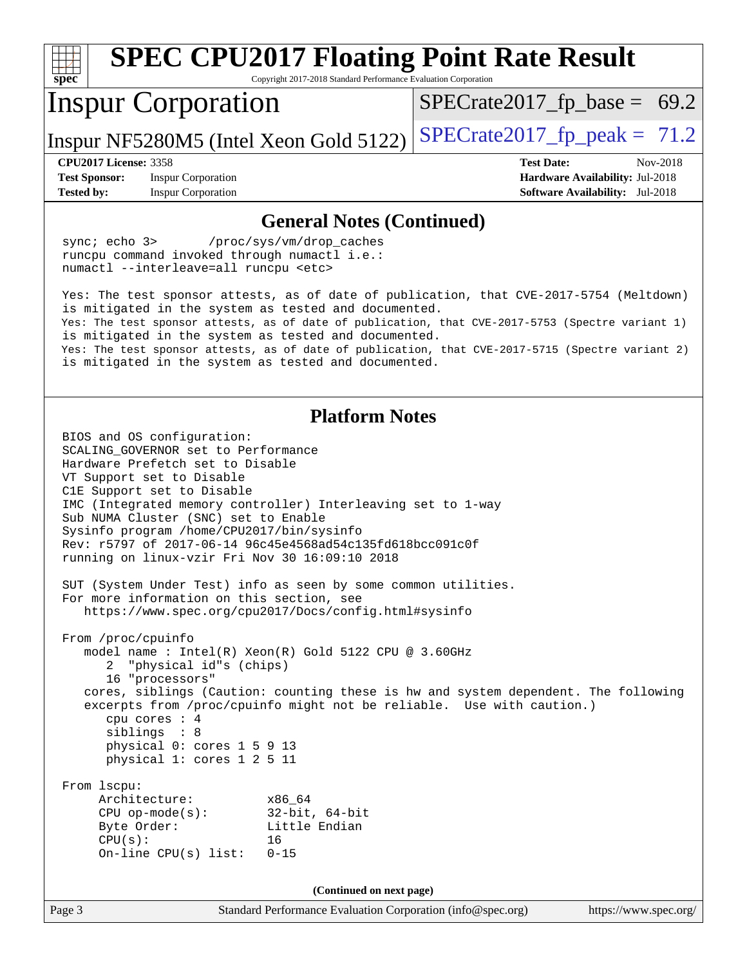| <b>SPEC CPU2017 Floating Point Rate Result</b>                                                                                                                                                                                                                                                                                                                                                                                                                                                                                                                                                                                                                                                                                                                                                                                                                                                                                                                                                                                                                                                                                                          |                                                                    |  |  |  |
|---------------------------------------------------------------------------------------------------------------------------------------------------------------------------------------------------------------------------------------------------------------------------------------------------------------------------------------------------------------------------------------------------------------------------------------------------------------------------------------------------------------------------------------------------------------------------------------------------------------------------------------------------------------------------------------------------------------------------------------------------------------------------------------------------------------------------------------------------------------------------------------------------------------------------------------------------------------------------------------------------------------------------------------------------------------------------------------------------------------------------------------------------------|--------------------------------------------------------------------|--|--|--|
| spec<br>Copyright 2017-2018 Standard Performance Evaluation Corporation<br><b>Inspur Corporation</b>                                                                                                                                                                                                                                                                                                                                                                                                                                                                                                                                                                                                                                                                                                                                                                                                                                                                                                                                                                                                                                                    | $SPECrate2017_fp\_base = 69.2$                                     |  |  |  |
| Inspur NF5280M5 (Intel Xeon Gold 5122)                                                                                                                                                                                                                                                                                                                                                                                                                                                                                                                                                                                                                                                                                                                                                                                                                                                                                                                                                                                                                                                                                                                  | $SPECrate2017_fp\_peak = 71.2$                                     |  |  |  |
| <b>CPU2017 License: 3358</b>                                                                                                                                                                                                                                                                                                                                                                                                                                                                                                                                                                                                                                                                                                                                                                                                                                                                                                                                                                                                                                                                                                                            | <b>Test Date:</b><br>Nov-2018                                      |  |  |  |
| <b>Test Sponsor:</b><br><b>Inspur Corporation</b><br><b>Tested by:</b><br><b>Inspur Corporation</b>                                                                                                                                                                                                                                                                                                                                                                                                                                                                                                                                                                                                                                                                                                                                                                                                                                                                                                                                                                                                                                                     | Hardware Availability: Jul-2018<br>Software Availability: Jul-2018 |  |  |  |
|                                                                                                                                                                                                                                                                                                                                                                                                                                                                                                                                                                                                                                                                                                                                                                                                                                                                                                                                                                                                                                                                                                                                                         |                                                                    |  |  |  |
| <b>General Notes (Continued)</b><br>sync; echo 3><br>/proc/sys/vm/drop_caches<br>runcpu command invoked through numactl i.e.:<br>numactl --interleave=all runcpu <etc><br/>Yes: The test sponsor attests, as of date of publication, that CVE-2017-5754 (Meltdown)<br/>is mitigated in the system as tested and documented.<br/>Yes: The test sponsor attests, as of date of publication, that CVE-2017-5753 (Spectre variant 1)<br/>is mitigated in the system as tested and documented.</etc>                                                                                                                                                                                                                                                                                                                                                                                                                                                                                                                                                                                                                                                         |                                                                    |  |  |  |
| Yes: The test sponsor attests, as of date of publication, that CVE-2017-5715 (Spectre variant 2)<br>is mitigated in the system as tested and documented.                                                                                                                                                                                                                                                                                                                                                                                                                                                                                                                                                                                                                                                                                                                                                                                                                                                                                                                                                                                                |                                                                    |  |  |  |
| <b>Platform Notes</b><br>BIOS and OS configuration:<br>SCALING GOVERNOR set to Performance<br>Hardware Prefetch set to Disable<br>VT Support set to Disable<br>C1E Support set to Disable<br>IMC (Integrated memory controller) Interleaving set to 1-way<br>Sub NUMA Cluster (SNC) set to Enable<br>Sysinfo program /home/CPU2017/bin/sysinfo<br>Rev: r5797 of 2017-06-14 96c45e4568ad54c135fd618bcc091c0f<br>running on linux-vzir Fri Nov 30 16:09:10 2018<br>SUT (System Under Test) info as seen by some common utilities.<br>For more information on this section, see<br>https://www.spec.org/cpu2017/Docs/config.html#sysinfo<br>From /proc/cpuinfo<br>model name: Intel(R) Xeon(R) Gold 5122 CPU @ 3.60GHz<br>"physical id"s (chips)<br>16 "processors"<br>cores, siblings (Caution: counting these is hw and system dependent. The following<br>excerpts from /proc/cpuinfo might not be reliable. Use with caution.)<br>cpu cores : 4<br>siblings : 8<br>physical 0: cores 1 5 9 13<br>physical 1: cores 1 2 5 11<br>From 1scpu:<br>Architecture:<br>x86 64<br>$32$ -bit, $64$ -bit<br>$CPU$ op-mode( $s$ ):<br>Little Endian<br>Byte Order: |                                                                    |  |  |  |
| On-line $CPU(s)$ list:<br>$0 - 15$                                                                                                                                                                                                                                                                                                                                                                                                                                                                                                                                                                                                                                                                                                                                                                                                                                                                                                                                                                                                                                                                                                                      |                                                                    |  |  |  |
| (Continued on next page)                                                                                                                                                                                                                                                                                                                                                                                                                                                                                                                                                                                                                                                                                                                                                                                                                                                                                                                                                                                                                                                                                                                                |                                                                    |  |  |  |
| Standard Performance Evaluation Corporation (info@spec.org)<br>Page 3                                                                                                                                                                                                                                                                                                                                                                                                                                                                                                                                                                                                                                                                                                                                                                                                                                                                                                                                                                                                                                                                                   | https://www.spec.org/                                              |  |  |  |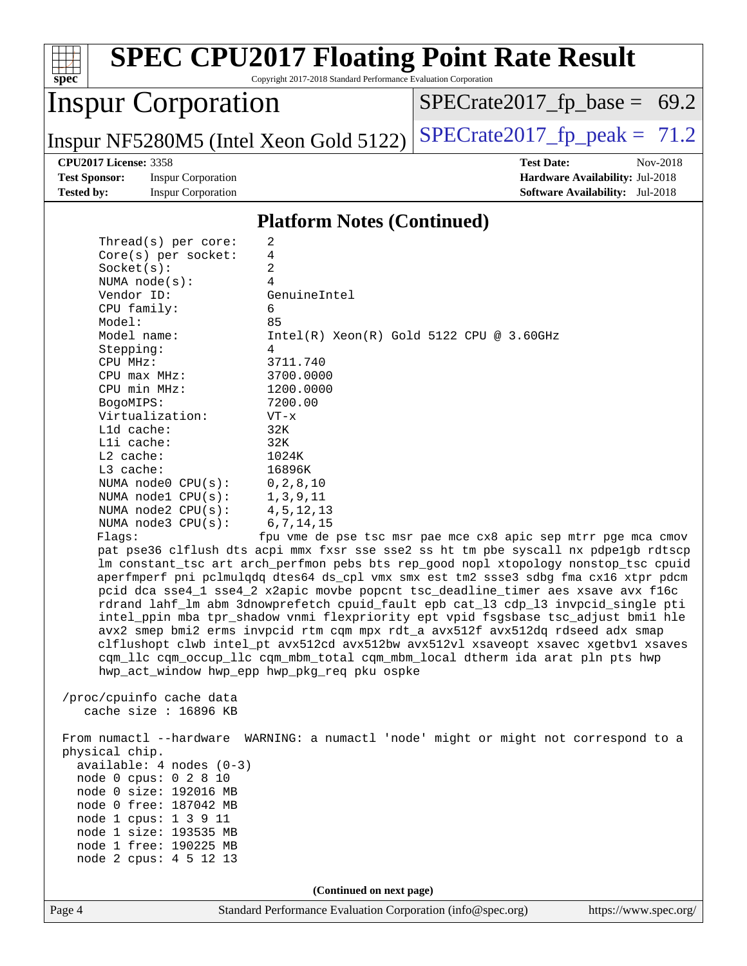#### Page 4 Standard Performance Evaluation Corporation [\(info@spec.org\)](mailto:info@spec.org) <https://www.spec.org/> [spec](http://www.spec.org/)<sup>®</sup> **[SPEC CPU2017 Floating Point Rate Result](http://www.spec.org/auto/cpu2017/Docs/result-fields.html#SPECCPU2017FloatingPointRateResult)** Copyright 2017-2018 Standard Performance Evaluation Corporation Inspur Corporation Inspur NF5280M5 (Intel Xeon Gold 5122)  $SPECrate2017_f$  peak = 71.2  $SPECTate2017_fp\_base = 69.2$ **[CPU2017 License:](http://www.spec.org/auto/cpu2017/Docs/result-fields.html#CPU2017License)** 3358 **[Test Date:](http://www.spec.org/auto/cpu2017/Docs/result-fields.html#TestDate)** Nov-2018 **[Test Sponsor:](http://www.spec.org/auto/cpu2017/Docs/result-fields.html#TestSponsor)** Inspur Corporation **[Hardware Availability:](http://www.spec.org/auto/cpu2017/Docs/result-fields.html#HardwareAvailability)** Jul-2018 **[Tested by:](http://www.spec.org/auto/cpu2017/Docs/result-fields.html#Testedby)** Inspur Corporation **[Software Availability:](http://www.spec.org/auto/cpu2017/Docs/result-fields.html#SoftwareAvailability)** Jul-2018 **[Platform Notes \(Continued\)](http://www.spec.org/auto/cpu2017/Docs/result-fields.html#PlatformNotes)** Thread(s) per core: 2 Core(s) per socket: 4 Socket(s): 2 NUMA node(s): 4 Vendor ID: GenuineIntel CPU family: 6 Model: 85<br>Model name: 1n  $Intel(R)$  Xeon(R) Gold 5122 CPU @ 3.60GHz Stepping: 4 CPU MHz: 3711.740 CPU max MHz: 3700.0000 CPU min MHz: 1200.0000 BogoMIPS: 7200.00 Virtualization: VT-x L1d cache: 32K L1i cache: 32K L2 cache: 1024K L3 cache: 16896K NUMA node0 CPU(s): 0,2,8,10 NUMA node1 CPU(s): 1,3,9,11 NUMA node2 CPU(s): 4,5,12,13 NUMA node3 CPU(s): 6,7,14,15 Flags: fpu vme de pse tsc msr pae mce cx8 apic sep mtrr pge mca cmov pat pse36 clflush dts acpi mmx fxsr sse sse2 ss ht tm pbe syscall nx pdpe1gb rdtscp lm constant\_tsc art arch\_perfmon pebs bts rep\_good nopl xtopology nonstop\_tsc cpuid aperfmperf pni pclmulqdq dtes64 ds\_cpl vmx smx est tm2 ssse3 sdbg fma cx16 xtpr pdcm pcid dca sse4\_1 sse4\_2 x2apic movbe popcnt tsc\_deadline\_timer aes xsave avx f16c rdrand lahf\_lm abm 3dnowprefetch cpuid\_fault epb cat\_l3 cdp\_l3 invpcid\_single pti intel\_ppin mba tpr\_shadow vnmi flexpriority ept vpid fsgsbase tsc\_adjust bmi1 hle avx2 smep bmi2 erms invpcid rtm cqm mpx rdt\_a avx512f avx512dq rdseed adx smap clflushopt clwb intel\_pt avx512cd avx512bw avx512vl xsaveopt xsavec xgetbv1 xsaves cqm\_llc cqm\_occup\_llc cqm\_mbm\_total cqm\_mbm\_local dtherm ida arat pln pts hwp hwp\_act\_window hwp\_epp hwp\_pkg\_req pku ospke /proc/cpuinfo cache data cache size : 16896 KB From numactl --hardware WARNING: a numactl 'node' might or might not correspond to a physical chip. available: 4 nodes (0-3) node 0 cpus: 0 2 8 10 node 0 size: 192016 MB node 0 free: 187042 MB node 1 cpus: 1 3 9 11 node 1 size: 193535 MB node 1 free: 190225 MB node 2 cpus: 4 5 12 13 **(Continued on next page)**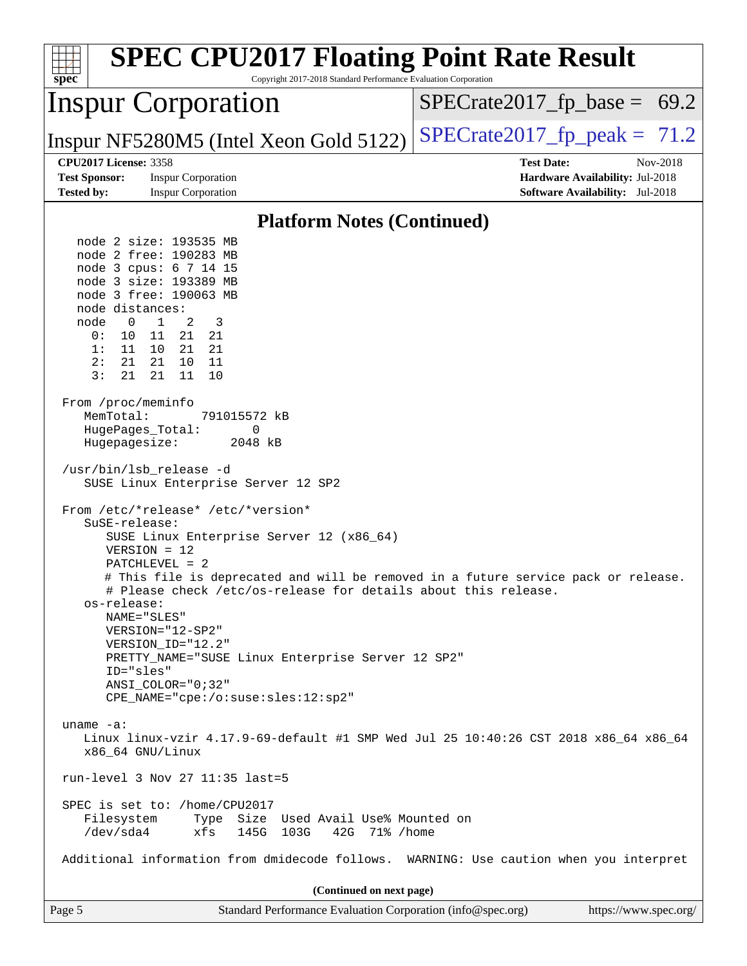| <b>SPEC CPU2017 Floating Point Rate Result</b><br>Copyright 2017-2018 Standard Performance Evaluation Corporation<br>spec <sup>®</sup>                                                                                                                                                                                                                                                                                                                                                                                                                                                                                                                                                                                                                                                                                                                                                                                                                                                                                                                                                                                                                                                                                                                                                                                                                                                          |                                                                           |
|-------------------------------------------------------------------------------------------------------------------------------------------------------------------------------------------------------------------------------------------------------------------------------------------------------------------------------------------------------------------------------------------------------------------------------------------------------------------------------------------------------------------------------------------------------------------------------------------------------------------------------------------------------------------------------------------------------------------------------------------------------------------------------------------------------------------------------------------------------------------------------------------------------------------------------------------------------------------------------------------------------------------------------------------------------------------------------------------------------------------------------------------------------------------------------------------------------------------------------------------------------------------------------------------------------------------------------------------------------------------------------------------------|---------------------------------------------------------------------------|
| <b>Inspur Corporation</b>                                                                                                                                                                                                                                                                                                                                                                                                                                                                                                                                                                                                                                                                                                                                                                                                                                                                                                                                                                                                                                                                                                                                                                                                                                                                                                                                                                       | $SPECrate2017_fp\_base = 69.2$                                            |
| Inspur NF5280M5 (Intel Xeon Gold 5122)                                                                                                                                                                                                                                                                                                                                                                                                                                                                                                                                                                                                                                                                                                                                                                                                                                                                                                                                                                                                                                                                                                                                                                                                                                                                                                                                                          | $SPECTate2017_fp\_peak = 71.2$                                            |
| <b>CPU2017 License: 3358</b>                                                                                                                                                                                                                                                                                                                                                                                                                                                                                                                                                                                                                                                                                                                                                                                                                                                                                                                                                                                                                                                                                                                                                                                                                                                                                                                                                                    | <b>Test Date:</b><br>Nov-2018                                             |
| <b>Test Sponsor:</b><br><b>Inspur Corporation</b><br><b>Tested by:</b><br><b>Inspur Corporation</b>                                                                                                                                                                                                                                                                                                                                                                                                                                                                                                                                                                                                                                                                                                                                                                                                                                                                                                                                                                                                                                                                                                                                                                                                                                                                                             | Hardware Availability: Jul-2018<br><b>Software Availability:</b> Jul-2018 |
|                                                                                                                                                                                                                                                                                                                                                                                                                                                                                                                                                                                                                                                                                                                                                                                                                                                                                                                                                                                                                                                                                                                                                                                                                                                                                                                                                                                                 |                                                                           |
| <b>Platform Notes (Continued)</b>                                                                                                                                                                                                                                                                                                                                                                                                                                                                                                                                                                                                                                                                                                                                                                                                                                                                                                                                                                                                                                                                                                                                                                                                                                                                                                                                                               |                                                                           |
| node 2 size: 193535 MB<br>node 2 free: 190283 MB<br>node 3 cpus: 6 7 14 15<br>node 3 size: 193389 MB<br>node 3 free: 190063 MB<br>node distances:<br>node<br>$\mathbf 0$<br>$\mathbf{1}$<br>2<br>3<br>10 11<br>21 21<br>0 :<br>1:<br>11 10 21 21<br>2:<br>21<br>21 10 11<br>3:<br>21<br>21<br>11<br>10<br>From /proc/meminfo<br>MemTotal:<br>791015572 kB<br>HugePages_Total:<br>0<br>Hugepagesize:<br>2048 kB<br>/usr/bin/lsb_release -d<br>SUSE Linux Enterprise Server 12 SP2<br>From /etc/*release* /etc/*version*<br>SuSE-release:<br>SUSE Linux Enterprise Server 12 (x86_64)<br>$VERSION = 12$<br>$PATCHLEVEL = 2$<br># This file is deprecated and will be removed in a future service pack or release.<br># Please check /etc/os-release for details about this release.<br>os-release:<br>NAME="SLES"<br>VERSION="12-SP2"<br>VERSION_ID="12.2"<br>PRETTY_NAME="SUSE Linux Enterprise Server 12 SP2"<br>ID="sles"<br>$ANSI$ _COLOR=" $0:32$ "<br>CPE_NAME="cpe:/o:suse:sles:12:sp2"<br>uname $-a$ :<br>Linux linux-vzir 4.17.9-69-default #1 SMP Wed Jul 25 10:40:26 CST 2018 x86_64 x86_64<br>x86_64 GNU/Linux<br>run-level 3 Nov 27 11:35 last=5<br>SPEC is set to: /home/CPU2017<br>Filesystem<br>Type Size Used Avail Use% Mounted on<br>/dev/sda4<br>145G 103G<br>42G 71% / home<br>xfs<br>Additional information from dmidecode follows. WARNING: Use caution when you interpret |                                                                           |
|                                                                                                                                                                                                                                                                                                                                                                                                                                                                                                                                                                                                                                                                                                                                                                                                                                                                                                                                                                                                                                                                                                                                                                                                                                                                                                                                                                                                 |                                                                           |
| (Continued on next page)                                                                                                                                                                                                                                                                                                                                                                                                                                                                                                                                                                                                                                                                                                                                                                                                                                                                                                                                                                                                                                                                                                                                                                                                                                                                                                                                                                        |                                                                           |
| Standard Performance Evaluation Corporation (info@spec.org)<br>Page 5                                                                                                                                                                                                                                                                                                                                                                                                                                                                                                                                                                                                                                                                                                                                                                                                                                                                                                                                                                                                                                                                                                                                                                                                                                                                                                                           | https://www.spec.org/                                                     |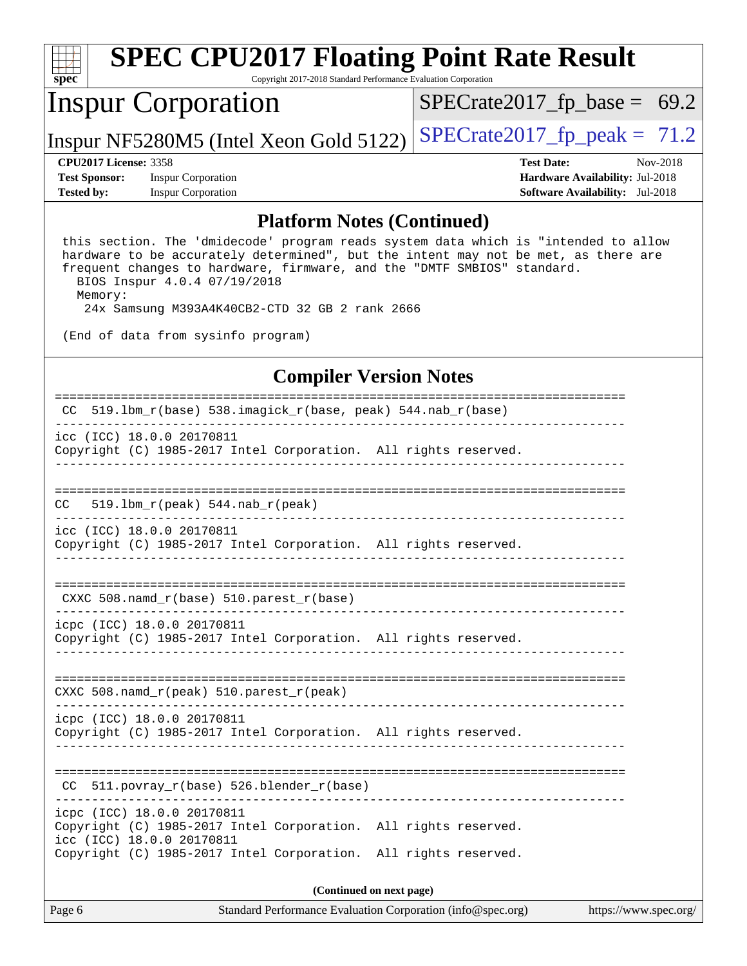| $Spec^*$                     | <b>SPEC CPU2017 Floating Point Rate Result</b><br>Copyright 2017-2018 Standard Performance Evaluation Corporation |                                        |          |  |  |  |  |
|------------------------------|-------------------------------------------------------------------------------------------------------------------|----------------------------------------|----------|--|--|--|--|
|                              | <b>Inspur Corporation</b>                                                                                         | $SPECrate2017_fp\_base = 69.2$         |          |  |  |  |  |
|                              | Inspur NF5280M5 (Intel Xeon Gold 5122)                                                                            | $SPECrate2017_fp\_peak = 71.2$         |          |  |  |  |  |
| <b>CPU2017 License: 3358</b> |                                                                                                                   | <b>Test Date:</b>                      | Nov-2018 |  |  |  |  |
| <b>Test Sponsor:</b>         | <b>Inspur Corporation</b>                                                                                         | Hardware Availability: Jul-2018        |          |  |  |  |  |
| <b>Tested by:</b>            | <b>Inspur Corporation</b>                                                                                         | <b>Software Availability:</b> Jul-2018 |          |  |  |  |  |

#### **[Platform Notes \(Continued\)](http://www.spec.org/auto/cpu2017/Docs/result-fields.html#PlatformNotes)**

 this section. The 'dmidecode' program reads system data which is "intended to allow hardware to be accurately determined", but the intent may not be met, as there are frequent changes to hardware, firmware, and the "DMTF SMBIOS" standard. BIOS Inspur 4.0.4 07/19/2018 Memory:

24x Samsung M393A4K40CB2-CTD 32 GB 2 rank 2666

(End of data from sysinfo program)

### **[Compiler Version Notes](http://www.spec.org/auto/cpu2017/Docs/result-fields.html#CompilerVersionNotes)**

| 519.1bm_ $r$ (base) 538.imagick_ $r$ (base, peak) 544.nab_ $r$ (base)<br>CC.                                               |  |  |  |  |  |
|----------------------------------------------------------------------------------------------------------------------------|--|--|--|--|--|
| icc (ICC) 18.0.0 20170811<br>Copyright (C) 1985-2017 Intel Corporation. All rights reserved.                               |  |  |  |  |  |
|                                                                                                                            |  |  |  |  |  |
| 519.1bm $r(\text{peak})$ 544.nab $r(\text{peak})$<br>CC.                                                                   |  |  |  |  |  |
| icc (ICC) 18.0.0 20170811<br>Copyright (C) 1985-2017 Intel Corporation. All rights reserved.                               |  |  |  |  |  |
|                                                                                                                            |  |  |  |  |  |
| CXXC 508.namd_r(base) 510.parest_r(base)                                                                                   |  |  |  |  |  |
| icpc (ICC) 18.0.0 20170811<br>Copyright (C) 1985-2017 Intel Corporation. All rights reserved.                              |  |  |  |  |  |
|                                                                                                                            |  |  |  |  |  |
| CXXC 508.namd_r(peak) 510.parest_r(peak)                                                                                   |  |  |  |  |  |
| icpc (ICC) 18.0.0 20170811<br>Copyright (C) 1985-2017 Intel Corporation. All rights reserved.                              |  |  |  |  |  |
| -------------------------<br>511.povray_r(base) 526.blender_r(base)<br>CC.                                                 |  |  |  |  |  |
| icpc (ICC) 18.0.0 20170811<br>Copyright (C) 1985-2017 Intel Corporation. All rights reserved.<br>icc (ICC) 18.0.0 20170811 |  |  |  |  |  |
| Copyright (C) 1985-2017 Intel Corporation. All rights reserved.                                                            |  |  |  |  |  |
| (Continued on next page)                                                                                                   |  |  |  |  |  |

Page 6 Standard Performance Evaluation Corporation [\(info@spec.org\)](mailto:info@spec.org) <https://www.spec.org/>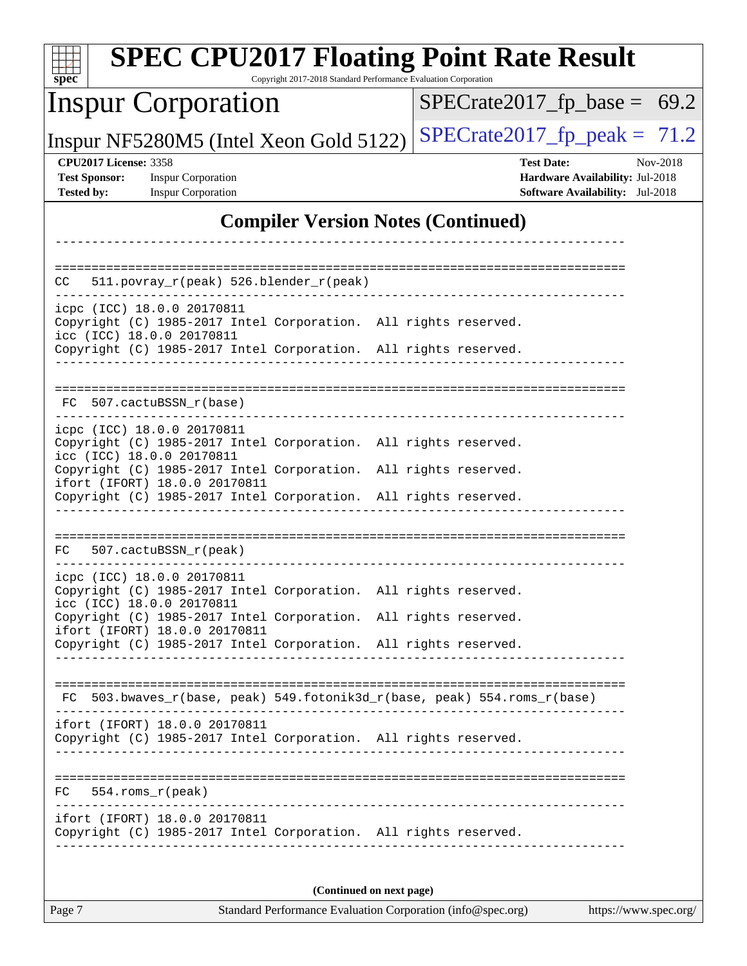| <b>SPEC CPU2017 Floating Point Rate Result</b><br>$spec^*$<br>Copyright 2017-2018 Standard Performance Evaluation Corporation |                                                                  |  |  |  |  |
|-------------------------------------------------------------------------------------------------------------------------------|------------------------------------------------------------------|--|--|--|--|
| <b>Inspur Corporation</b>                                                                                                     | $SPECrate2017_fp\_base = 69.2$                                   |  |  |  |  |
| Inspur NF5280M5 (Intel Xeon Gold 5122)                                                                                        | $SPECTate2017$ _fp_peak = 71.2                                   |  |  |  |  |
| <b>CPU2017 License: 3358</b><br><b>Test Sponsor:</b><br><b>Inspur Corporation</b>                                             | <b>Test Date:</b><br>Nov-2018<br>Hardware Availability: Jul-2018 |  |  |  |  |
| <b>Tested by:</b><br><b>Inspur Corporation</b>                                                                                | <b>Software Availability:</b> Jul-2018                           |  |  |  |  |
| <b>Compiler Version Notes (Continued)</b>                                                                                     |                                                                  |  |  |  |  |
|                                                                                                                               |                                                                  |  |  |  |  |
| 511.povray_r(peak) 526.blender_r(peak)<br>CC.                                                                                 |                                                                  |  |  |  |  |
| icpc (ICC) 18.0.0 20170811<br>Copyright (C) 1985-2017 Intel Corporation. All rights reserved.                                 |                                                                  |  |  |  |  |
| icc (ICC) 18.0.0 20170811<br>Copyright (C) 1985-2017 Intel Corporation. All rights reserved.                                  |                                                                  |  |  |  |  |
|                                                                                                                               |                                                                  |  |  |  |  |
|                                                                                                                               | ====================================                             |  |  |  |  |
| FC 507.cactuBSSN r(base)                                                                                                      |                                                                  |  |  |  |  |
| icpc (ICC) 18.0.0 20170811<br>Copyright (C) 1985-2017 Intel Corporation. All rights reserved.                                 |                                                                  |  |  |  |  |
| icc (ICC) 18.0.0 20170811<br>Copyright (C) 1985-2017 Intel Corporation.                                                       | All rights reserved.                                             |  |  |  |  |
| ifort (IFORT) 18.0.0 20170811<br>Copyright (C) 1985-2017 Intel Corporation. All rights reserved.                              |                                                                  |  |  |  |  |
|                                                                                                                               |                                                                  |  |  |  |  |
| 507.cactuBSSN_r(peak)<br>FC                                                                                                   |                                                                  |  |  |  |  |
| icpc (ICC) 18.0.0 20170811                                                                                                    |                                                                  |  |  |  |  |
| Copyright (C) 1985-2017 Intel Corporation. All rights reserved.<br>icc (ICC) 18.0.0 20170811                                  |                                                                  |  |  |  |  |
| Copyright (C) 1985-2017 Intel Corporation. All rights reserved.<br>ifort (IFORT) 18.0.0 20170811                              |                                                                  |  |  |  |  |
| Copyright (C) 1985-2017 Intel Corporation. All rights reserved.                                                               |                                                                  |  |  |  |  |
|                                                                                                                               |                                                                  |  |  |  |  |
| FC 503.bwaves_r(base, peak) 549.fotonik3d_r(base, peak) 554.roms_r(base)                                                      |                                                                  |  |  |  |  |
| ifort (IFORT) 18.0.0 20170811                                                                                                 |                                                                  |  |  |  |  |
| Copyright (C) 1985-2017 Intel Corporation. All rights reserved.                                                               |                                                                  |  |  |  |  |
| FC<br>$554.rows_r (peak)$                                                                                                     |                                                                  |  |  |  |  |
| ifort (IFORT) 18.0.0 20170811                                                                                                 |                                                                  |  |  |  |  |
| Copyright (C) 1985-2017 Intel Corporation. All rights reserved.                                                               |                                                                  |  |  |  |  |
|                                                                                                                               |                                                                  |  |  |  |  |
| (Continued on next page)                                                                                                      |                                                                  |  |  |  |  |
| Page 7<br>Standard Performance Evaluation Corporation (info@spec.org)                                                         | https://www.spec.org/                                            |  |  |  |  |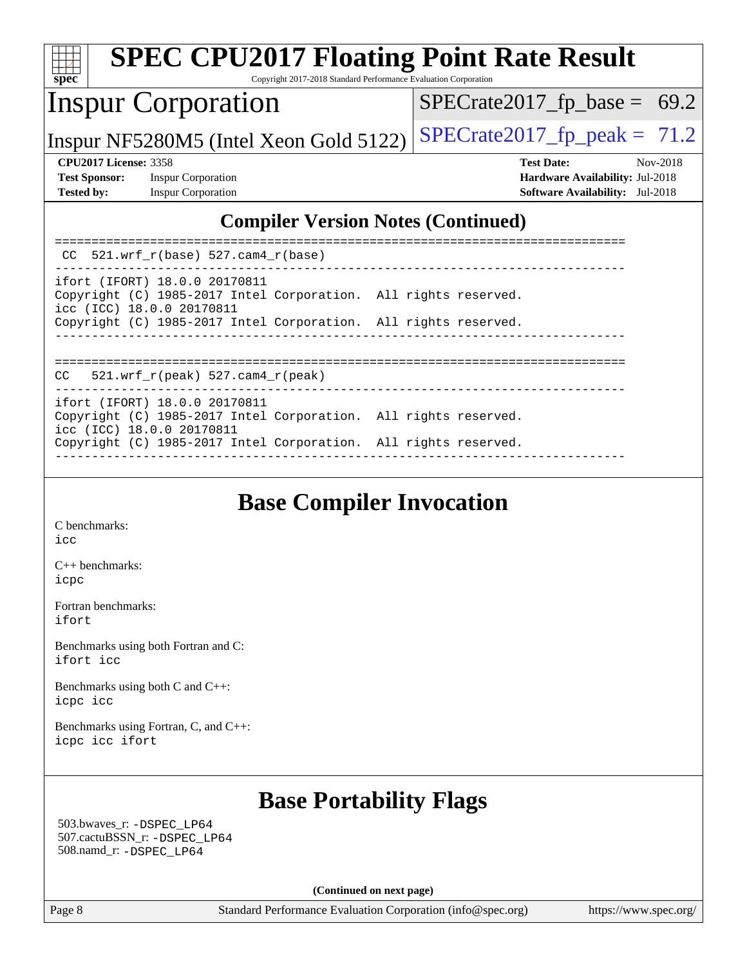| $\mathbf{Spec}^*$                                                                                                                   | Copyright 2017-2018 Standard Performance Evaluation Corporation | <b>SPEC CPU2017 Floating Point Rate Result</b>                                                      |
|-------------------------------------------------------------------------------------------------------------------------------------|-----------------------------------------------------------------|-----------------------------------------------------------------------------------------------------|
| <b>Inspur Corporation</b>                                                                                                           |                                                                 | $SPECrate2017_fp\_base = 69.2$                                                                      |
|                                                                                                                                     | Inspur NF5280M5 (Intel Xeon Gold 5122)                          | $SPECTate2017$ _fp_peak = 71.2                                                                      |
| <b>CPU2017 License: 3358</b><br><b>Test Sponsor:</b><br><b>Inspur Corporation</b><br><b>Tested by:</b><br><b>Inspur Corporation</b> |                                                                 | <b>Test Date:</b><br>Nov-2018<br>Hardware Availability: Jul-2018<br>Software Availability: Jul-2018 |
|                                                                                                                                     | <b>Compiler Version Notes (Continued)</b>                       |                                                                                                     |
| CC                                                                                                                                  | $521.wrf_r(base)$ 527.cam4_r(base)                              |                                                                                                     |
| ifort (IFORT) 18.0.0 20170811<br>icc (ICC) 18.0.0 20170811                                                                          | Copyright (C) 1985-2017 Intel Corporation. All rights reserved. |                                                                                                     |
|                                                                                                                                     | Copyright (C) 1985-2017 Intel Corporation. All rights reserved. |                                                                                                     |
| CC                                                                                                                                  | 521.wrf $r(\text{peak})$ 527.cam4 $r(\text{peak})$              |                                                                                                     |
| ifort (IFORT) 18.0.0 20170811<br>icc (ICC) 18.0.0 20170811                                                                          | Copyright (C) 1985-2017 Intel Corporation. All rights reserved. |                                                                                                     |
|                                                                                                                                     | Copyright (C) 1985-2017 Intel Corporation. All rights reserved. |                                                                                                     |
|                                                                                                                                     |                                                                 |                                                                                                     |

# **[Base Compiler Invocation](http://www.spec.org/auto/cpu2017/Docs/result-fields.html#BaseCompilerInvocation)**

[C benchmarks](http://www.spec.org/auto/cpu2017/Docs/result-fields.html#Cbenchmarks): [icc](http://www.spec.org/cpu2017/results/res2018q4/cpu2017-20181211-10287.flags.html#user_CCbase_intel_icc_18.0_66fc1ee009f7361af1fbd72ca7dcefbb700085f36577c54f309893dd4ec40d12360134090235512931783d35fd58c0460139e722d5067c5574d8eaf2b3e37e92)

[C++ benchmarks:](http://www.spec.org/auto/cpu2017/Docs/result-fields.html#CXXbenchmarks) [icpc](http://www.spec.org/cpu2017/results/res2018q4/cpu2017-20181211-10287.flags.html#user_CXXbase_intel_icpc_18.0_c510b6838c7f56d33e37e94d029a35b4a7bccf4766a728ee175e80a419847e808290a9b78be685c44ab727ea267ec2f070ec5dc83b407c0218cded6866a35d07)

[Fortran benchmarks](http://www.spec.org/auto/cpu2017/Docs/result-fields.html#Fortranbenchmarks): [ifort](http://www.spec.org/cpu2017/results/res2018q4/cpu2017-20181211-10287.flags.html#user_FCbase_intel_ifort_18.0_8111460550e3ca792625aed983ce982f94888b8b503583aa7ba2b8303487b4d8a21a13e7191a45c5fd58ff318f48f9492884d4413fa793fd88dd292cad7027ca)

[Benchmarks using both Fortran and C](http://www.spec.org/auto/cpu2017/Docs/result-fields.html#BenchmarksusingbothFortranandC): [ifort](http://www.spec.org/cpu2017/results/res2018q4/cpu2017-20181211-10287.flags.html#user_CC_FCbase_intel_ifort_18.0_8111460550e3ca792625aed983ce982f94888b8b503583aa7ba2b8303487b4d8a21a13e7191a45c5fd58ff318f48f9492884d4413fa793fd88dd292cad7027ca) [icc](http://www.spec.org/cpu2017/results/res2018q4/cpu2017-20181211-10287.flags.html#user_CC_FCbase_intel_icc_18.0_66fc1ee009f7361af1fbd72ca7dcefbb700085f36577c54f309893dd4ec40d12360134090235512931783d35fd58c0460139e722d5067c5574d8eaf2b3e37e92)

[Benchmarks using both C and C++](http://www.spec.org/auto/cpu2017/Docs/result-fields.html#BenchmarksusingbothCandCXX): [icpc](http://www.spec.org/cpu2017/results/res2018q4/cpu2017-20181211-10287.flags.html#user_CC_CXXbase_intel_icpc_18.0_c510b6838c7f56d33e37e94d029a35b4a7bccf4766a728ee175e80a419847e808290a9b78be685c44ab727ea267ec2f070ec5dc83b407c0218cded6866a35d07) [icc](http://www.spec.org/cpu2017/results/res2018q4/cpu2017-20181211-10287.flags.html#user_CC_CXXbase_intel_icc_18.0_66fc1ee009f7361af1fbd72ca7dcefbb700085f36577c54f309893dd4ec40d12360134090235512931783d35fd58c0460139e722d5067c5574d8eaf2b3e37e92)

[Benchmarks using Fortran, C, and C++:](http://www.spec.org/auto/cpu2017/Docs/result-fields.html#BenchmarksusingFortranCandCXX) [icpc](http://www.spec.org/cpu2017/results/res2018q4/cpu2017-20181211-10287.flags.html#user_CC_CXX_FCbase_intel_icpc_18.0_c510b6838c7f56d33e37e94d029a35b4a7bccf4766a728ee175e80a419847e808290a9b78be685c44ab727ea267ec2f070ec5dc83b407c0218cded6866a35d07) [icc](http://www.spec.org/cpu2017/results/res2018q4/cpu2017-20181211-10287.flags.html#user_CC_CXX_FCbase_intel_icc_18.0_66fc1ee009f7361af1fbd72ca7dcefbb700085f36577c54f309893dd4ec40d12360134090235512931783d35fd58c0460139e722d5067c5574d8eaf2b3e37e92) [ifort](http://www.spec.org/cpu2017/results/res2018q4/cpu2017-20181211-10287.flags.html#user_CC_CXX_FCbase_intel_ifort_18.0_8111460550e3ca792625aed983ce982f94888b8b503583aa7ba2b8303487b4d8a21a13e7191a45c5fd58ff318f48f9492884d4413fa793fd88dd292cad7027ca)

### **[Base Portability Flags](http://www.spec.org/auto/cpu2017/Docs/result-fields.html#BasePortabilityFlags)**

 503.bwaves\_r: [-DSPEC\\_LP64](http://www.spec.org/cpu2017/results/res2018q4/cpu2017-20181211-10287.flags.html#suite_basePORTABILITY503_bwaves_r_DSPEC_LP64) 507.cactuBSSN\_r: [-DSPEC\\_LP64](http://www.spec.org/cpu2017/results/res2018q4/cpu2017-20181211-10287.flags.html#suite_basePORTABILITY507_cactuBSSN_r_DSPEC_LP64) 508.namd\_r: [-DSPEC\\_LP64](http://www.spec.org/cpu2017/results/res2018q4/cpu2017-20181211-10287.flags.html#suite_basePORTABILITY508_namd_r_DSPEC_LP64)

**(Continued on next page)**

Page 8 Standard Performance Evaluation Corporation [\(info@spec.org\)](mailto:info@spec.org) <https://www.spec.org/>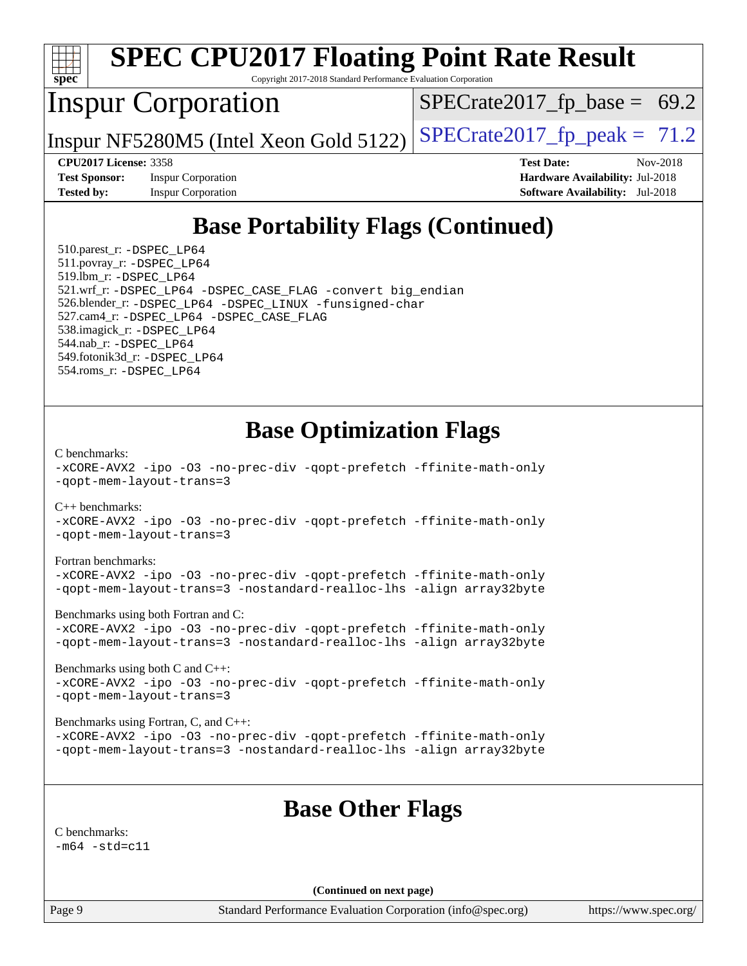

 $-m64 - std= c11$  $-m64 - std= c11$ 

**(Continued on next page)**

Page 9 Standard Performance Evaluation Corporation [\(info@spec.org\)](mailto:info@spec.org) <https://www.spec.org/>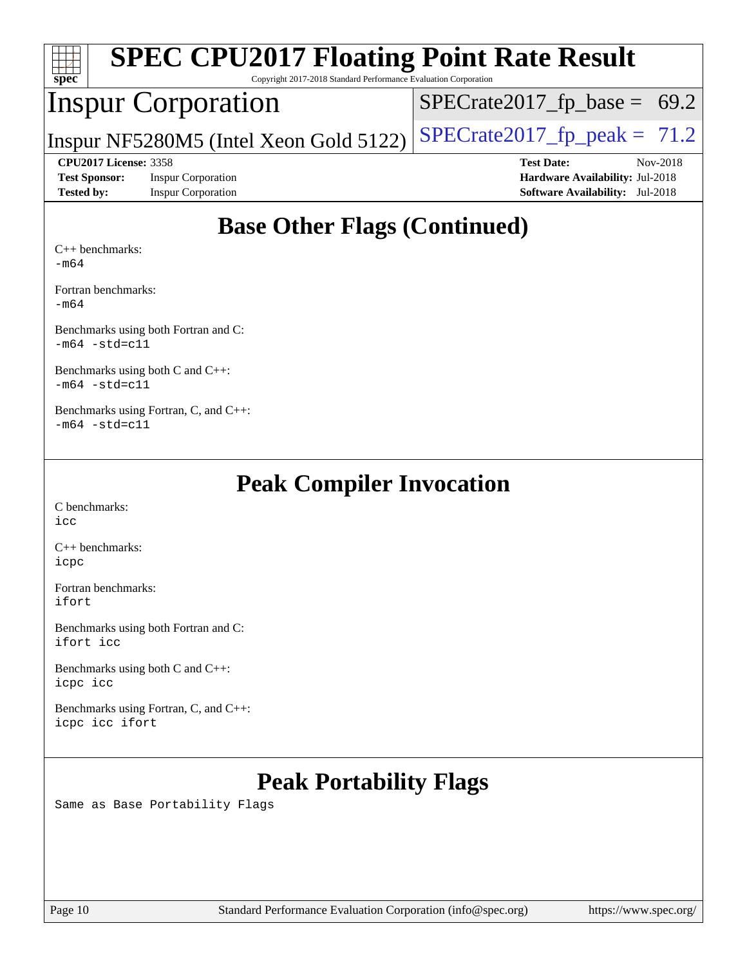| <b>SPEC CPU2017 Floating Point Rate Result</b><br>spec <sup>®</sup><br>Copyright 2017-2018 Standard Performance Evaluation Corporation |                                        |                                        |  |  |  |  |
|----------------------------------------------------------------------------------------------------------------------------------------|----------------------------------------|----------------------------------------|--|--|--|--|
|                                                                                                                                        | Inspur Corporation                     | $SPECTate2017_fp\_base = 69.2$         |  |  |  |  |
|                                                                                                                                        | Inspur NF5280M5 (Intel Xeon Gold 5122) | $SPECrate2017_fp\_peak = 71.2$         |  |  |  |  |
| <b>CPU2017 License: 3358</b>                                                                                                           |                                        | Nov-2018<br><b>Test Date:</b>          |  |  |  |  |
| <b>Test Sponsor:</b><br><b>Inspur Corporation</b>                                                                                      |                                        | <b>Hardware Availability: Jul-2018</b> |  |  |  |  |
| <b>Tested by:</b>                                                                                                                      | <b>Inspur Corporation</b>              | <b>Software Availability:</b> Jul-2018 |  |  |  |  |
| $C_{++}$ benchmarks:                                                                                                                   | <b>Base Other Flags (Continued)</b>    |                                        |  |  |  |  |

[-m64](http://www.spec.org/cpu2017/results/res2018q4/cpu2017-20181211-10287.flags.html#user_CXXbase_intel_intel64_18.0_af43caccfc8ded86e7699f2159af6efc7655f51387b94da716254467f3c01020a5059329e2569e4053f409e7c9202a7efc638f7a6d1ffb3f52dea4a3e31d82ab)

[Fortran benchmarks](http://www.spec.org/auto/cpu2017/Docs/result-fields.html#Fortranbenchmarks): [-m64](http://www.spec.org/cpu2017/results/res2018q4/cpu2017-20181211-10287.flags.html#user_FCbase_intel_intel64_18.0_af43caccfc8ded86e7699f2159af6efc7655f51387b94da716254467f3c01020a5059329e2569e4053f409e7c9202a7efc638f7a6d1ffb3f52dea4a3e31d82ab)

[Benchmarks using both Fortran and C](http://www.spec.org/auto/cpu2017/Docs/result-fields.html#BenchmarksusingbothFortranandC): [-m64](http://www.spec.org/cpu2017/results/res2018q4/cpu2017-20181211-10287.flags.html#user_CC_FCbase_intel_intel64_18.0_af43caccfc8ded86e7699f2159af6efc7655f51387b94da716254467f3c01020a5059329e2569e4053f409e7c9202a7efc638f7a6d1ffb3f52dea4a3e31d82ab) [-std=c11](http://www.spec.org/cpu2017/results/res2018q4/cpu2017-20181211-10287.flags.html#user_CC_FCbase_intel_compiler_c11_mode_0e1c27790398a4642dfca32ffe6c27b5796f9c2d2676156f2e42c9c44eaad0c049b1cdb667a270c34d979996257aeb8fc440bfb01818dbc9357bd9d174cb8524)

[Benchmarks using both C and C++](http://www.spec.org/auto/cpu2017/Docs/result-fields.html#BenchmarksusingbothCandCXX): [-m64](http://www.spec.org/cpu2017/results/res2018q4/cpu2017-20181211-10287.flags.html#user_CC_CXXbase_intel_intel64_18.0_af43caccfc8ded86e7699f2159af6efc7655f51387b94da716254467f3c01020a5059329e2569e4053f409e7c9202a7efc638f7a6d1ffb3f52dea4a3e31d82ab) [-std=c11](http://www.spec.org/cpu2017/results/res2018q4/cpu2017-20181211-10287.flags.html#user_CC_CXXbase_intel_compiler_c11_mode_0e1c27790398a4642dfca32ffe6c27b5796f9c2d2676156f2e42c9c44eaad0c049b1cdb667a270c34d979996257aeb8fc440bfb01818dbc9357bd9d174cb8524)

[Benchmarks using Fortran, C, and C++:](http://www.spec.org/auto/cpu2017/Docs/result-fields.html#BenchmarksusingFortranCandCXX)  $-m64$   $-std=cl1$ 

## **[Peak Compiler Invocation](http://www.spec.org/auto/cpu2017/Docs/result-fields.html#PeakCompilerInvocation)**

[C benchmarks](http://www.spec.org/auto/cpu2017/Docs/result-fields.html#Cbenchmarks): [icc](http://www.spec.org/cpu2017/results/res2018q4/cpu2017-20181211-10287.flags.html#user_CCpeak_intel_icc_18.0_66fc1ee009f7361af1fbd72ca7dcefbb700085f36577c54f309893dd4ec40d12360134090235512931783d35fd58c0460139e722d5067c5574d8eaf2b3e37e92)

[C++ benchmarks:](http://www.spec.org/auto/cpu2017/Docs/result-fields.html#CXXbenchmarks) [icpc](http://www.spec.org/cpu2017/results/res2018q4/cpu2017-20181211-10287.flags.html#user_CXXpeak_intel_icpc_18.0_c510b6838c7f56d33e37e94d029a35b4a7bccf4766a728ee175e80a419847e808290a9b78be685c44ab727ea267ec2f070ec5dc83b407c0218cded6866a35d07)

[Fortran benchmarks](http://www.spec.org/auto/cpu2017/Docs/result-fields.html#Fortranbenchmarks): [ifort](http://www.spec.org/cpu2017/results/res2018q4/cpu2017-20181211-10287.flags.html#user_FCpeak_intel_ifort_18.0_8111460550e3ca792625aed983ce982f94888b8b503583aa7ba2b8303487b4d8a21a13e7191a45c5fd58ff318f48f9492884d4413fa793fd88dd292cad7027ca)

[Benchmarks using both Fortran and C](http://www.spec.org/auto/cpu2017/Docs/result-fields.html#BenchmarksusingbothFortranandC): [ifort](http://www.spec.org/cpu2017/results/res2018q4/cpu2017-20181211-10287.flags.html#user_CC_FCpeak_intel_ifort_18.0_8111460550e3ca792625aed983ce982f94888b8b503583aa7ba2b8303487b4d8a21a13e7191a45c5fd58ff318f48f9492884d4413fa793fd88dd292cad7027ca) [icc](http://www.spec.org/cpu2017/results/res2018q4/cpu2017-20181211-10287.flags.html#user_CC_FCpeak_intel_icc_18.0_66fc1ee009f7361af1fbd72ca7dcefbb700085f36577c54f309893dd4ec40d12360134090235512931783d35fd58c0460139e722d5067c5574d8eaf2b3e37e92)

[Benchmarks using both C and C++](http://www.spec.org/auto/cpu2017/Docs/result-fields.html#BenchmarksusingbothCandCXX): [icpc](http://www.spec.org/cpu2017/results/res2018q4/cpu2017-20181211-10287.flags.html#user_CC_CXXpeak_intel_icpc_18.0_c510b6838c7f56d33e37e94d029a35b4a7bccf4766a728ee175e80a419847e808290a9b78be685c44ab727ea267ec2f070ec5dc83b407c0218cded6866a35d07) [icc](http://www.spec.org/cpu2017/results/res2018q4/cpu2017-20181211-10287.flags.html#user_CC_CXXpeak_intel_icc_18.0_66fc1ee009f7361af1fbd72ca7dcefbb700085f36577c54f309893dd4ec40d12360134090235512931783d35fd58c0460139e722d5067c5574d8eaf2b3e37e92)

[Benchmarks using Fortran, C, and C++:](http://www.spec.org/auto/cpu2017/Docs/result-fields.html#BenchmarksusingFortranCandCXX) [icpc](http://www.spec.org/cpu2017/results/res2018q4/cpu2017-20181211-10287.flags.html#user_CC_CXX_FCpeak_intel_icpc_18.0_c510b6838c7f56d33e37e94d029a35b4a7bccf4766a728ee175e80a419847e808290a9b78be685c44ab727ea267ec2f070ec5dc83b407c0218cded6866a35d07) [icc](http://www.spec.org/cpu2017/results/res2018q4/cpu2017-20181211-10287.flags.html#user_CC_CXX_FCpeak_intel_icc_18.0_66fc1ee009f7361af1fbd72ca7dcefbb700085f36577c54f309893dd4ec40d12360134090235512931783d35fd58c0460139e722d5067c5574d8eaf2b3e37e92) [ifort](http://www.spec.org/cpu2017/results/res2018q4/cpu2017-20181211-10287.flags.html#user_CC_CXX_FCpeak_intel_ifort_18.0_8111460550e3ca792625aed983ce982f94888b8b503583aa7ba2b8303487b4d8a21a13e7191a45c5fd58ff318f48f9492884d4413fa793fd88dd292cad7027ca)

# **[Peak Portability Flags](http://www.spec.org/auto/cpu2017/Docs/result-fields.html#PeakPortabilityFlags)**

Same as Base Portability Flags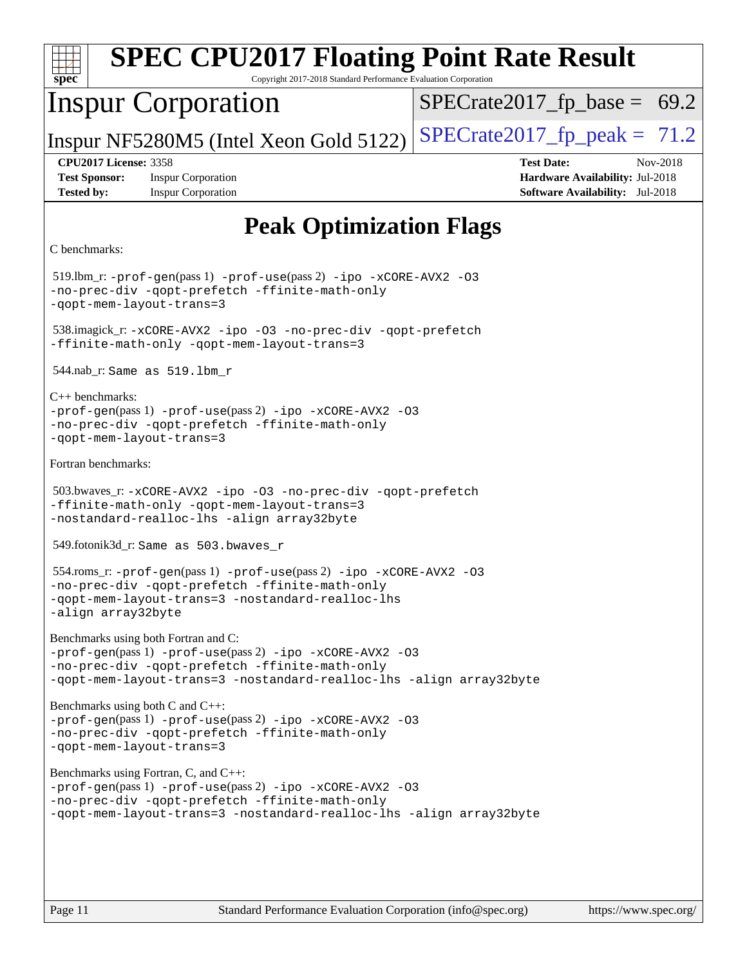| <b>SPEC CPU2017 Floating Point Rate Result</b><br>Copyright 2017-2018 Standard Performance Evaluation Corporation<br>$spec^*$                                                                                              |                                                                                                            |  |  |  |  |  |
|----------------------------------------------------------------------------------------------------------------------------------------------------------------------------------------------------------------------------|------------------------------------------------------------------------------------------------------------|--|--|--|--|--|
| <b>Inspur Corporation</b>                                                                                                                                                                                                  | $SPECrate2017_fp\_base = 69.2$                                                                             |  |  |  |  |  |
| Inspur NF5280M5 (Intel Xeon Gold 5122)                                                                                                                                                                                     | $SPECrate2017_fp\_peak = 71.2$                                                                             |  |  |  |  |  |
| <b>CPU2017 License: 3358</b><br><b>Test Sponsor:</b><br><b>Inspur Corporation</b><br><b>Tested by:</b><br><b>Inspur Corporation</b>                                                                                        | <b>Test Date:</b><br>Nov-2018<br>Hardware Availability: Jul-2018<br><b>Software Availability:</b> Jul-2018 |  |  |  |  |  |
| <b>Peak Optimization Flags</b>                                                                                                                                                                                             |                                                                                                            |  |  |  |  |  |
| C benchmarks:                                                                                                                                                                                                              |                                                                                                            |  |  |  |  |  |
| $519$ .lbm_r: -prof-gen(pass 1) -prof-use(pass 2) -ipo -xCORE-AVX2 -03<br>-no-prec-div -qopt-prefetch -ffinite-math-only<br>-gopt-mem-layout-trans=3                                                                       |                                                                                                            |  |  |  |  |  |
| 538.imagick_r: -xCORE-AVX2 -ipo -03 -no-prec-div -qopt-prefetch<br>-ffinite-math-only -qopt-mem-layout-trans=3                                                                                                             |                                                                                                            |  |  |  |  |  |
| $544.nab_r$ : Same as $519.lbm_r$                                                                                                                                                                                          |                                                                                                            |  |  |  |  |  |
| $C++$ benchmarks:<br>$-prof-gen(pass 1) -prof-use(pass 2) -ipo -xCORE-AVX2 -O3$<br>-no-prec-div -qopt-prefetch -ffinite-math-only<br>-qopt-mem-layout-trans=3                                                              |                                                                                                            |  |  |  |  |  |
| Fortran benchmarks:                                                                                                                                                                                                        |                                                                                                            |  |  |  |  |  |
| 503.bwaves_r:-xCORE-AVX2 -ipo -03 -no-prec-div -qopt-prefetch<br>-ffinite-math-only -qopt-mem-layout-trans=3<br>-nostandard-realloc-lhs -align array32byte                                                                 |                                                                                                            |  |  |  |  |  |
| 549.fotonik3d_r: Same as 503.bwaves_r                                                                                                                                                                                      |                                                                                                            |  |  |  |  |  |
| 554.roms_r:-prof-gen(pass 1) -prof-use(pass 2) -ipo -xCORE-AVX2 -03<br>-no-prec-div -qopt-prefetch -ffinite-math-onlv<br>-gopt-mem-layout-trans=3 -nostandard-realloc-lhs<br>-align array32byte                            |                                                                                                            |  |  |  |  |  |
| Benchmarks using both Fortran and C:<br>-prof-gen(pass 1) -prof-use(pass 2) -ipo -xCORE-AVX2 -03<br>-no-prec-div -qopt-prefetch -ffinite-math-only<br>-qopt-mem-layout-trans=3 -nostandard-realloc-lhs -align array32byte  |                                                                                                            |  |  |  |  |  |
| Benchmarks using both C and C++:<br>-prof-gen(pass 1) -prof-use(pass 2) -ipo -xCORE-AVX2 -03<br>-no-prec-div -qopt-prefetch -ffinite-math-only<br>-qopt-mem-layout-trans=3                                                 |                                                                                                            |  |  |  |  |  |
| Benchmarks using Fortran, C, and C++:<br>-prof-gen(pass 1) -prof-use(pass 2) -ipo -xCORE-AVX2 -03<br>-no-prec-div -qopt-prefetch -ffinite-math-only<br>-qopt-mem-layout-trans=3 -nostandard-realloc-lhs -align array32byte |                                                                                                            |  |  |  |  |  |
|                                                                                                                                                                                                                            |                                                                                                            |  |  |  |  |  |